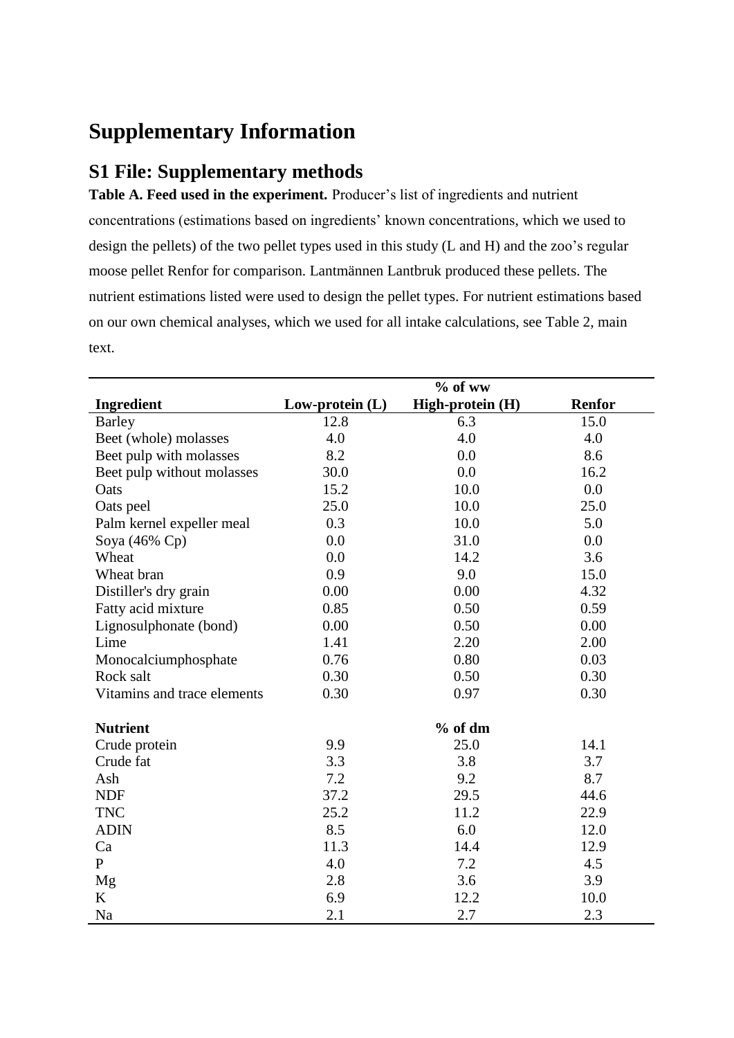# **Supplementary Information**

# **S1 File: Supplementary methods**

**Table A. Feed used in the experiment.** Producer's list of ingredients and nutrient concentrations (estimations based on ingredients' known concentrations, which we used to design the pellets) of the two pellet types used in this study (L and H) and the zoo's regular moose pellet Renfor for comparison. Lantmännen Lantbruk produced these pellets. The nutrient estimations listed were used to design the pellet types. For nutrient estimations based on our own chemical analyses, which we used for all intake calculations, see Table 2, main text.

|                             |                   | $%$ of ww        |               |
|-----------------------------|-------------------|------------------|---------------|
| <b>Ingredient</b>           | Low-protein $(L)$ | High-protein (H) | <b>Renfor</b> |
| <b>Barley</b>               | 12.8              | 6.3              | 15.0          |
| Beet (whole) molasses       | 4.0               | 4.0              | 4.0           |
| Beet pulp with molasses     | 8.2               | 0.0              | 8.6           |
| Beet pulp without molasses  | 30.0              | 0.0              | 16.2          |
| Oats                        | 15.2              | 10.0             | 0.0           |
| Oats peel                   | 25.0              | 10.0             | 25.0          |
| Palm kernel expeller meal   | 0.3               | 10.0             | 5.0           |
| Soya (46% Cp)               | 0.0               | 31.0             | 0.0           |
| Wheat                       | 0.0               | 14.2             | 3.6           |
| Wheat bran                  | 0.9               | 9.0              | 15.0          |
| Distiller's dry grain       | 0.00              | 0.00             | 4.32          |
| Fatty acid mixture          | 0.85              | 0.50             | 0.59          |
| Lignosulphonate (bond)      | 0.00              | 0.50             | 0.00          |
| Lime                        | 1.41              | 2.20             | 2.00          |
| Monocalciumphosphate        | 0.76              | 0.80             | 0.03          |
| Rock salt                   | 0.30              | 0.50             | 0.30          |
| Vitamins and trace elements | 0.30              | 0.97             | 0.30          |
| <b>Nutrient</b>             |                   | $%$ of dm        |               |
| Crude protein               | 9.9               | 25.0             | 14.1          |
| Crude fat                   | 3.3               | 3.8              | 3.7           |
| Ash                         | 7.2               | 9.2              | 8.7           |
| <b>NDF</b>                  | 37.2              | 29.5             | 44.6          |
| <b>TNC</b>                  | 25.2              | 11.2             | 22.9          |
| <b>ADIN</b>                 | 8.5               | 6.0              | 12.0          |
| Ca                          | 11.3              | 14.4             | 12.9          |
| $\mathbf{P}$                | 4.0               | 7.2              | 4.5           |
| Mg                          | 2.8               | 3.6              | 3.9           |
| K                           | 6.9               | 12.2             | 10.0          |
| Na                          | 2.1               | 2.7              | 2.3           |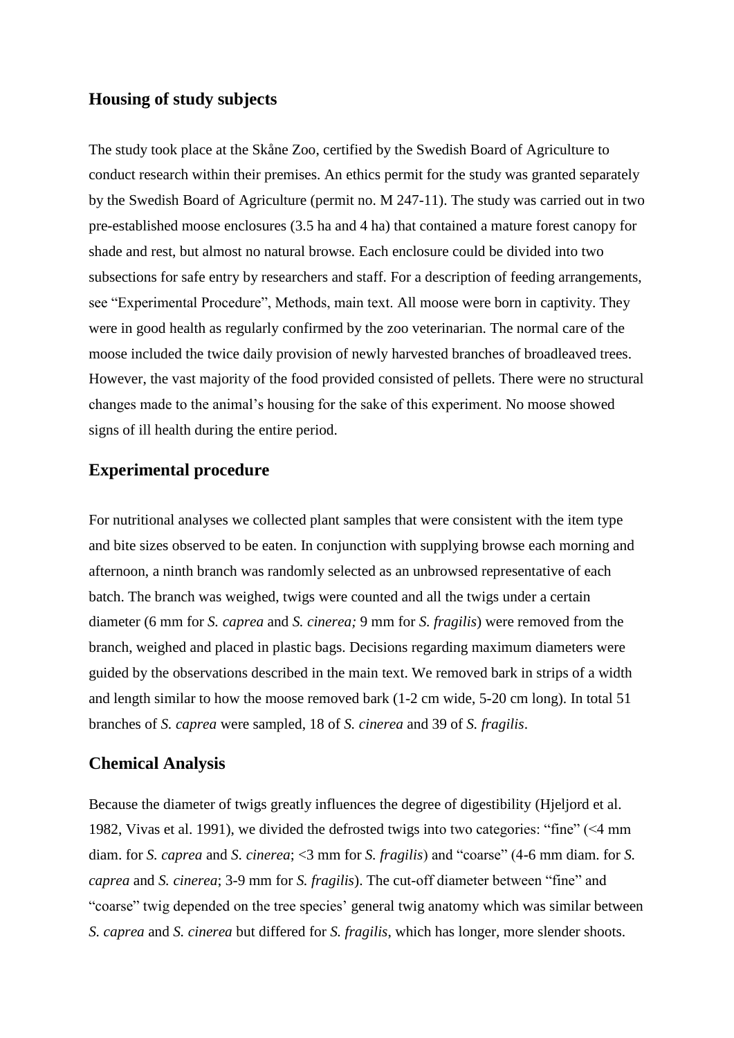## **Housing of study subjects**

The study took place at the Skåne Zoo, certified by the Swedish Board of Agriculture to conduct research within their premises. An ethics permit for the study was granted separately by the Swedish Board of Agriculture (permit no. M 247-11). The study was carried out in two pre-established moose enclosures (3.5 ha and 4 ha) that contained a mature forest canopy for shade and rest, but almost no natural browse. Each enclosure could be divided into two subsections for safe entry by researchers and staff. For a description of feeding arrangements, see "Experimental Procedure", Methods, main text. All moose were born in captivity. They were in good health as regularly confirmed by the zoo veterinarian. The normal care of the moose included the twice daily provision of newly harvested branches of broadleaved trees. However, the vast majority of the food provided consisted of pellets. There were no structural changes made to the animal's housing for the sake of this experiment. No moose showed signs of ill health during the entire period.

## **Experimental procedure**

For nutritional analyses we collected plant samples that were consistent with the item type and bite sizes observed to be eaten. In conjunction with supplying browse each morning and afternoon, a ninth branch was randomly selected as an unbrowsed representative of each batch. The branch was weighed, twigs were counted and all the twigs under a certain diameter (6 mm for *S. caprea* and *S. cinerea;* 9 mm for *S. fragilis*) were removed from the branch, weighed and placed in plastic bags. Decisions regarding maximum diameters were guided by the observations described in the main text. We removed bark in strips of a width and length similar to how the moose removed bark (1-2 cm wide, 5-20 cm long). In total 51 branches of *S. caprea* were sampled, 18 of *S. cinerea* and 39 of *S. fragilis*.

#### **Chemical Analysis**

Because the diameter of twigs greatly influences the degree of digestibility [\(Hjeljord et al.](#page-3-0)  [1982,](#page-3-0) [Vivas et al. 1991\)](#page-4-0), we divided the defrosted twigs into two categories: "fine" (<4 mm diam. for *S. caprea* and *S. cinerea*; <3 mm for *S. fragilis*) and "coarse" (4-6 mm diam. for *S. caprea* and *S. cinerea*; 3-9 mm for *S. fragilis*). The cut-off diameter between "fine" and "coarse" twig depended on the tree species' general twig anatomy which was similar between *S. caprea* and *S. cinerea* but differed for *S. fragilis*, which has longer, more slender shoots.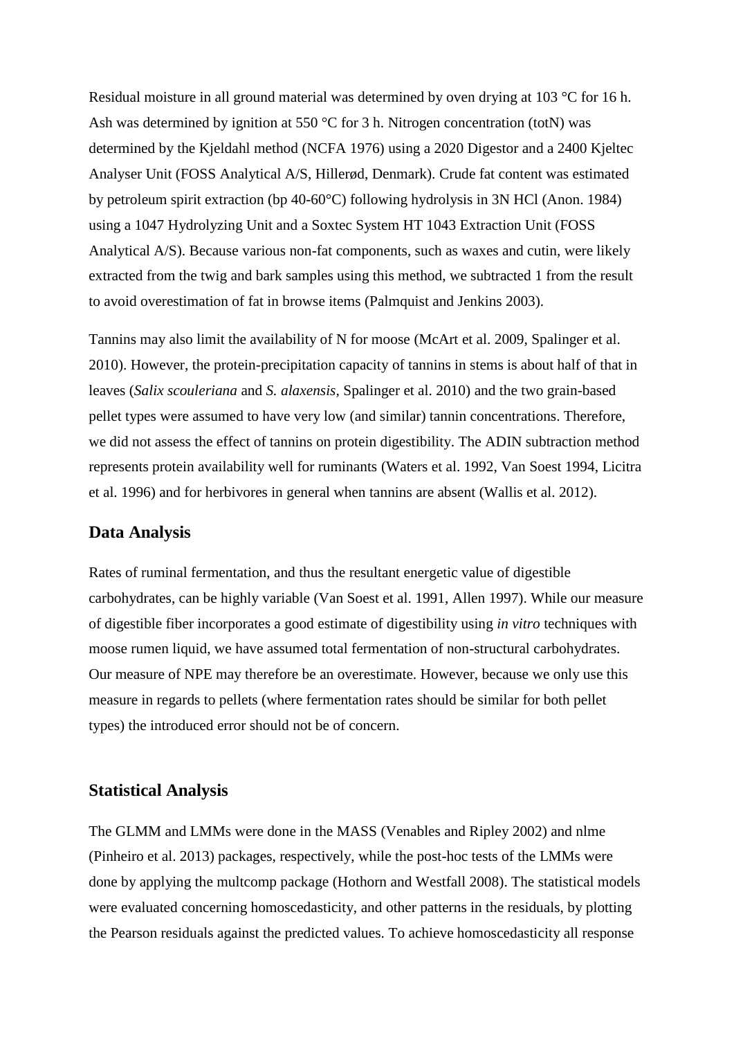Residual moisture in all ground material was determined by oven drying at 103 °C for 16 h. Ash was determined by ignition at 550 °C for 3 h. Nitrogen concentration (totN) was determined by the Kjeldahl method (NCFA 1976) using a 2020 Digestor and a 2400 Kjeltec Analyser Unit (FOSS Analytical A/S, Hillerød, Denmark). Crude fat content was estimated by petroleum spirit extraction (bp 40-60°C) following hydrolysis in 3N HCl [\(Anon. 1984\)](#page-3-1) using a 1047 Hydrolyzing Unit and a Soxtec System HT 1043 Extraction Unit (FOSS Analytical A/S). Because various non-fat components, such as waxes and cutin, were likely extracted from the twig and bark samples using this method, we subtracted 1 from the result to avoid overestimation of fat in browse items [\(Palmquist and Jenkins 2003\)](#page-3-2).

Tannins may also limit the availability of N for moose [\(McArt et al. 2009,](#page-3-3) [Spalinger et al.](#page-3-4)  [2010\)](#page-3-4). However, the protein-precipitation capacity of tannins in stems is about half of that in leaves (*Salix scouleriana* and *S. alaxensis,* [Spalinger et al. 2010\)](#page-3-4) and the two grain-based pellet types were assumed to have very low (and similar) tannin concentrations. Therefore, we did not assess the effect of tannins on protein digestibility. The ADIN subtraction method represents protein availability well for ruminants [\(Waters et al. 1992,](#page-4-1) [Van Soest 1994,](#page-3-5) [Licitra](#page-3-6)  [et al. 1996\)](#page-3-6) and for herbivores in general when tannins are absent [\(Wallis et](#page-4-2) al. 2012).

#### **Data Analysis**

Rates of ruminal fermentation, and thus the resultant energetic value of digestible carbohydrates, can be highly variable [\(Van Soest et al. 1991,](#page-4-3) [Allen 1997\)](#page-3-7). While our measure of digestible fiber incorporates a good estimate of digestibility using *in vitro* techniques with moose rumen liquid, we have assumed total fermentation of non-structural carbohydrates. Our measure of NPE may therefore be an overestimate. However, because we only use this measure in regards to pellets (where fermentation rates should be similar for both pellet types) the introduced error should not be of concern.

#### **Statistical Analysis**

The GLMM and LMMs were done in the MASS [\(Venables and Ripley 2002\)](#page-4-4) and nlme [\(Pinheiro et al. 2013\)](#page-3-8) packages, respectively, while the post-hoc tests of the LMMs were done by applying the multcomp package [\(Hothorn and Westfall 2008\)](#page-3-9). The statistical models were evaluated concerning homoscedasticity, and other patterns in the residuals, by plotting the Pearson residuals against the predicted values. To achieve homoscedasticity all response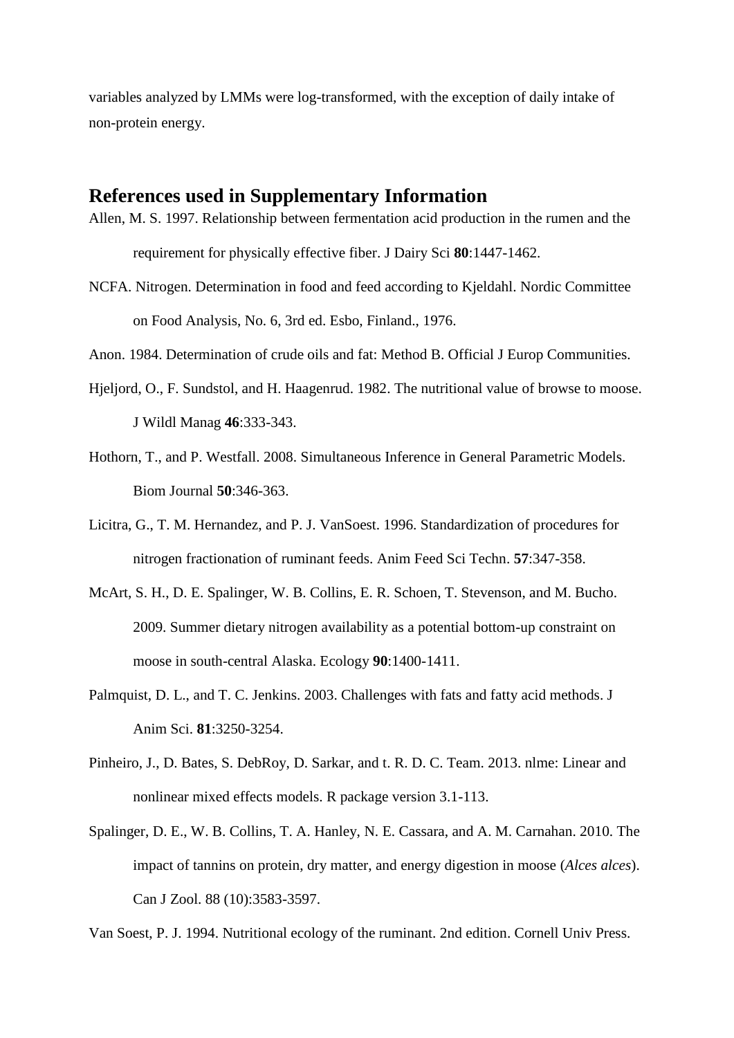variables analyzed by LMMs were log-transformed, with the exception of daily intake of non-protein energy.

# **References used in Supplementary Information**

- <span id="page-3-7"></span>Allen, M. S. 1997. Relationship between fermentation acid production in the rumen and the requirement for physically effective fiber. J Dairy Sci **80**:1447-1462.
- <span id="page-3-1"></span>NCFA. Nitrogen. Determination in food and feed according to Kjeldahl. Nordic Committee on Food Analysis, No. 6, 3rd ed. Esbo, Finland., 1976.

Anon. 1984. Determination of crude oils and fat: Method B. Official J Europ Communities.

- <span id="page-3-0"></span>Hjeljord, O., F. Sundstol, and H. Haagenrud. 1982. The nutritional value of browse to moose. J Wildl Manag **46**:333-343.
- <span id="page-3-9"></span>Hothorn, T., and P. Westfall. 2008. Simultaneous Inference in General Parametric Models. Biom Journal **50**:346-363.
- <span id="page-3-6"></span>Licitra, G., T. M. Hernandez, and P. J. VanSoest. 1996. Standardization of procedures for nitrogen fractionation of ruminant feeds. Anim Feed Sci Techn. **57**:347-358.
- <span id="page-3-3"></span>McArt, S. H., D. E. Spalinger, W. B. Collins, E. R. Schoen, T. Stevenson, and M. Bucho. 2009. Summer dietary nitrogen availability as a potential bottom-up constraint on moose in south-central Alaska. Ecology **90**:1400-1411.
- <span id="page-3-2"></span>Palmquist, D. L., and T. C. Jenkins. 2003. Challenges with fats and fatty acid methods. J Anim Sci. **81**:3250-3254.
- <span id="page-3-8"></span>Pinheiro, J., D. Bates, S. DebRoy, D. Sarkar, and t. R. D. C. Team. 2013. nlme: Linear and nonlinear mixed effects models. R package version 3.1-113.
- <span id="page-3-4"></span>Spalinger, D. E., W. B. Collins, T. A. Hanley, N. E. Cassara, and A. M. Carnahan. 2010. The impact of tannins on protein, dry matter, and energy digestion in moose (*Alces alces*). Can J Zool. 88 (10):3583-3597.

<span id="page-3-5"></span>Van Soest, P. J. 1994. Nutritional ecology of the ruminant. 2nd edition. Cornell Univ Press.